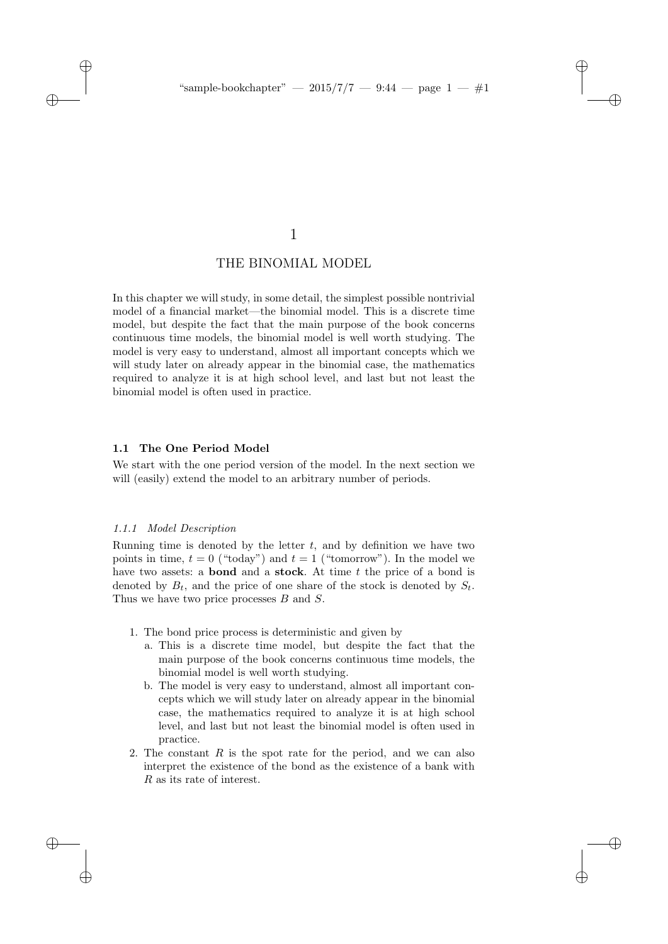✐

✐

✐

# 1

# THE BINOMIAL MODEL

In this chapter we will study, in some detail, the simplest possible nontrivial model of a financial market—the binomial model. This is a discrete time model, but despite the fact that the main purpose of the book concerns continuous time models, the binomial model is well worth studying. The model is very easy to understand, almost all important concepts which we will study later on already appear in the binomial case, the mathematics required to analyze it is at high school level, and last but not least the binomial model is often used in practice.

#### 1.1 The One Period Model

We start with the one period version of the model. In the next section we will (easily) extend the model to an arbitrary number of periods.

## 1.1.1 Model Description

 $\rightarrow$ 

 $\rightarrow$ 

✐

✐

Running time is denoted by the letter  $t$ , and by definition we have two points in time,  $t = 0$  ("today") and  $t = 1$  ("tomorrow"). In the model we have two assets: a **bond** and a **stock**. At time  $t$  the price of a bond is denoted by  $B_t$ , and the price of one share of the stock is denoted by  $S_t$ . Thus we have two price processes B and S.

- 1. The bond price process is deterministic and given by
	- a. This is a discrete time model, but despite the fact that the main purpose of the book concerns continuous time models, the binomial model is well worth studying.
	- b. The model is very easy to understand, almost all important concepts which we will study later on already appear in the binomial case, the mathematics required to analyze it is at high school level, and last but not least the binomial model is often used in practice.
- 2. The constant  $R$  is the spot rate for the period, and we can also interpret the existence of the bond as the existence of a bank with R as its rate of interest.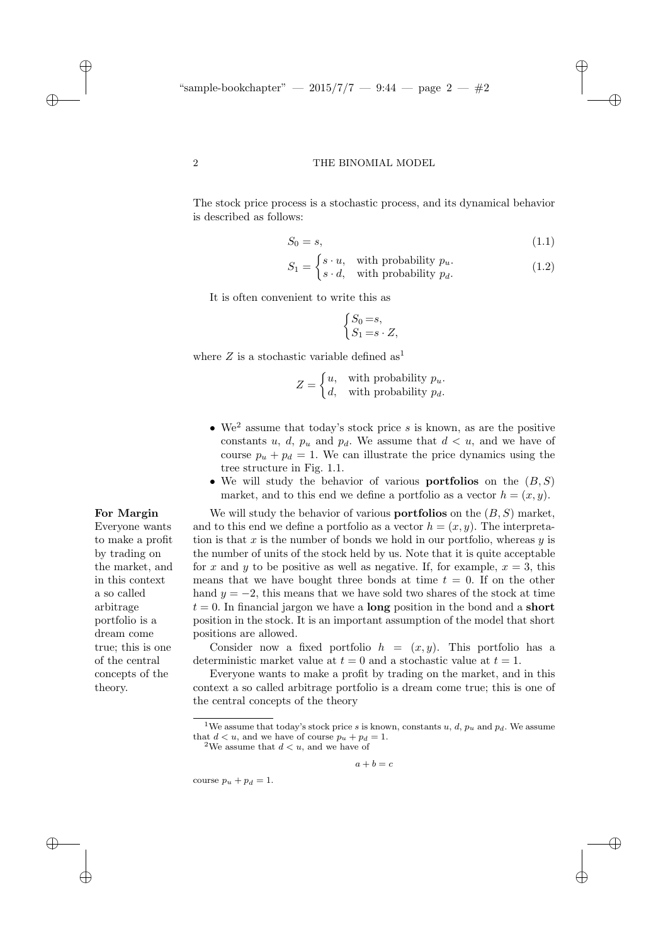"sample-bookchapter"  $- 2015/7/7 - 9.44 - \text{page 2} - \#2$ 

#### 2 THE BINOMIAL MODEL

The stock price process is a stochastic process, and its dynamical behavior is described as follows:

$$
S_0 = s,\tag{1.1}
$$

✐

✐

✐

✐

$$
S_1 = \begin{cases} s \cdot u, & \text{with probability } p_u. \\ s \cdot d, & \text{with probability } p_d. \end{cases}
$$
 (1.2)

It is often convenient to write this as

$$
\begin{cases} S_0 = s, \\ S_1 = s \cdot Z, \end{cases}
$$

where Z is a stochastic variable defined as<sup>1</sup>

$$
Z = \begin{cases} u, & \text{with probability } p_u. \\ d, & \text{with probability } p_d. \end{cases}
$$

- We<sup>2</sup> assume that today's stock price s is known, as are the positive constants u, d,  $p_u$  and  $p_d$ . We assume that  $d < u$ , and we have of course  $p_u + p_d = 1$ . We can illustrate the price dynamics using the tree structure in Fig. 1.1.
- We will study the behavior of various **portfolios** on the  $(B, S)$ market, and to this end we define a portfolio as a vector  $h = (x, y)$ .

For Margin We will study the behavior of various portfolios on the  $(B, S)$  market, and to this end we define a portfolio as a vector  $h = (x, y)$ . The interpretation is that  $x$  is the number of bonds we hold in our portfolio, whereas  $y$  is the number of units of the stock held by us. Note that it is quite acceptable for x and y to be positive as well as negative. If, for example,  $x = 3$ , this means that we have bought three bonds at time  $t = 0$ . If on the other hand  $y = -2$ , this means that we have sold two shares of the stock at time  $t = 0$ . In financial jargon we have a **long** position in the bond and a **short** position in the stock. It is an important assumption of the model that short positions are allowed.

> Consider now a fixed portfolio  $h = (x, y)$ . This portfolio has a deterministic market value at  $t = 0$  and a stochastic value at  $t = 1$ .

> Everyone wants to make a profit by trading on the market, and in this context a so called arbitrage portfolio is a dream come true; this is one of the central concepts of the theory

 $a + b = c$ 

course  $p_u + p_d = 1$ .

Everyone wants to make a profit by trading on the market, and in this context a so called arbitrage portfolio is a

dream come true; this is one of the central concepts of the

theory.

 $\rightarrow$ 

✐

 $\rightarrow$ 

<sup>&</sup>lt;sup>1</sup>We assume that today's stock price s is known, constants u, d,  $p_u$  and  $p_d$ . We assume that  $d < u$ , and we have of course  $p_u + p_d = 1$ .<br><sup>2</sup>We assume that  $d < u$ , and we have of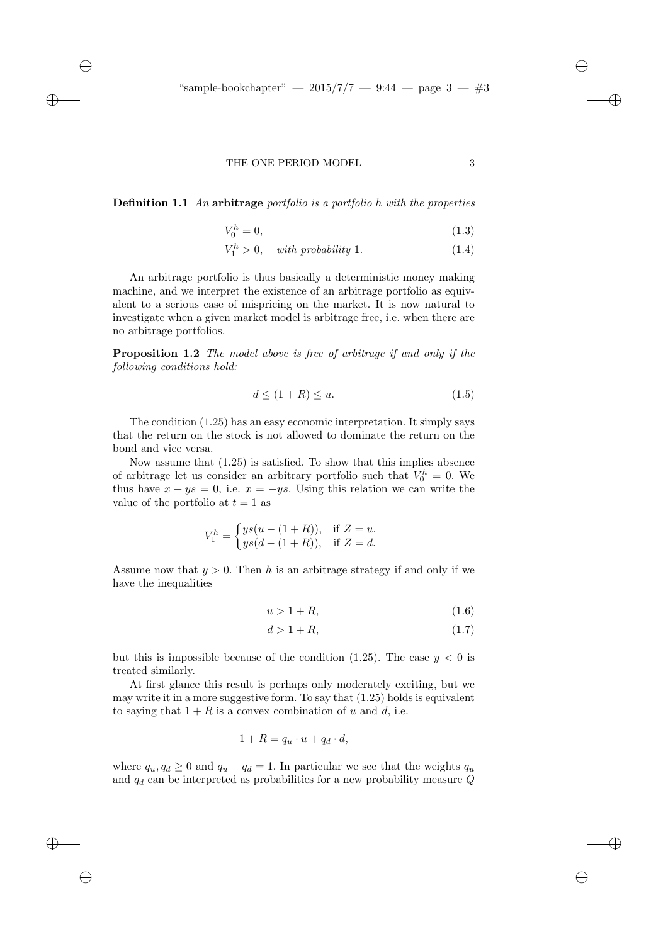#### THE ONE PERIOD MODEL 3

 $\rightarrow$ 

 $\rightarrow$ 

✐

✐

**Definition 1.1** An arbitrage portfolio is a portfolio h with the properties

$$
V_0^h = 0,\t\t(1.3)
$$

$$
V_1^h > 0, \quad with \ probability \ 1. \tag{1.4}
$$

An arbitrage portfolio is thus basically a deterministic money making machine, and we interpret the existence of an arbitrage portfolio as equivalent to a serious case of mispricing on the market. It is now natural to investigate when a given market model is arbitrage free, i.e. when there are no arbitrage portfolios.

Proposition 1.2 The model above is free of arbitrage if and only if the following conditions hold:

$$
d \le (1+R) \le u. \tag{1.5}
$$

The condition (1.25) has an easy economic interpretation. It simply says that the return on the stock is not allowed to dominate the return on the bond and vice versa.

Now assume that (1.25) is satisfied. To show that this implies absence of arbitrage let us consider an arbitrary portfolio such that  $V_0^h = 0$ . We thus have  $x + ys = 0$ , i.e.  $x = -ys$ . Using this relation we can write the value of the portfolio at  $t = 1$  as

$$
V_1^h = \begin{cases} ys(u - (1 + R)), & \text{if } Z = u, \\ ys(d - (1 + R)), & \text{if } Z = d. \end{cases}
$$

Assume now that  $y > 0$ . Then h is an arbitrage strategy if and only if we have the inequalities

$$
u > 1 + R,\tag{1.6}
$$

$$
d > 1 + R,\tag{1.7}
$$

but this is impossible because of the condition (1.25). The case  $y < 0$  is treated similarly.

At first glance this result is perhaps only moderately exciting, but we may write it in a more suggestive form. To say that  $(1.25)$  holds is equivalent to saying that  $1 + R$  is a convex combination of u and d, i.e.

$$
1 + R = q_u \cdot u + q_d \cdot d,
$$

where  $q_u, q_d \geq 0$  and  $q_u + q_d = 1$ . In particular we see that the weights  $q_u$ and  $q_d$  can be interpreted as probabilities for a new probability measure  $Q$  ✐

✐

✐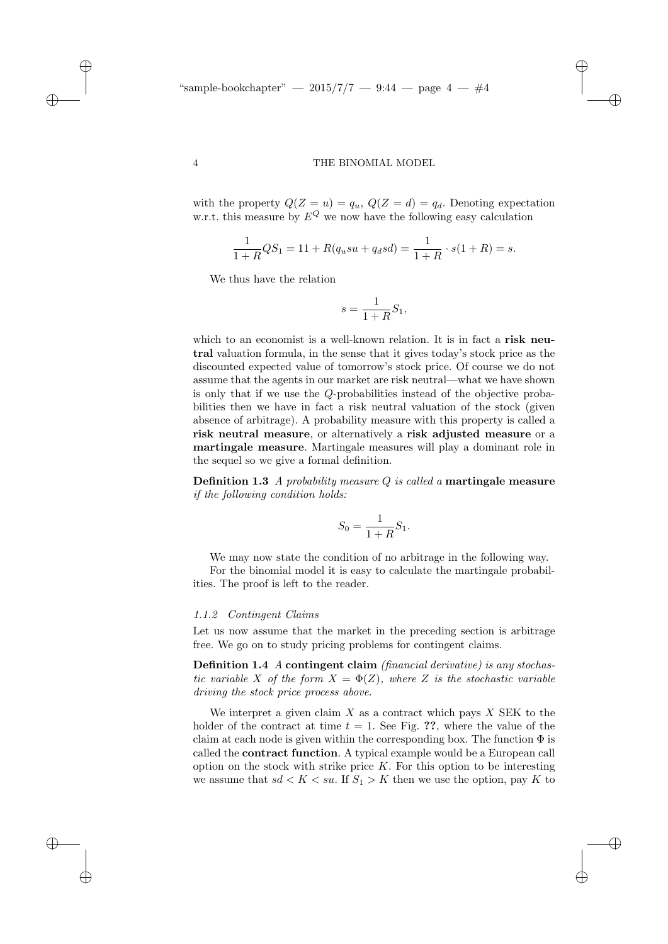✐

✐

✐

✐

with the property  $Q(Z = u) = q_u$ ,  $Q(Z = d) = q_d$ . Denoting expectation w.r.t. this measure by  $E^{Q}$  we now have the following easy calculation

$$
\frac{1}{1+R}QS_1 = 11 + R(q_u s u + q_d s d) = \frac{1}{1+R} \cdot s(1+R) = s.
$$

We thus have the relation

$$
s = \frac{1}{1+R}S_1,
$$

which to an economist is a well-known relation. It is in fact a **risk neu**tral valuation formula, in the sense that it gives today's stock price as the discounted expected value of tomorrow's stock price. Of course we do not assume that the agents in our market are risk neutral—what we have shown is only that if we use the Q-probabilities instead of the objective probabilities then we have in fact a risk neutral valuation of the stock (given absence of arbitrage). A probability measure with this property is called a risk neutral measure, or alternatively a risk adjusted measure or a martingale measure. Martingale measures will play a dominant role in the sequel so we give a formal definition.

**Definition 1.3** A probability measure  $Q$  is called a **martingale measure** if the following condition holds:

$$
S_0 = \frac{1}{1+R}S_1.
$$

We may now state the condition of no arbitrage in the following way. For the binomial model it is easy to calculate the martingale probabilities. The proof is left to the reader.

#### 1.1.2 Contingent Claims

Let us now assume that the market in the preceding section is arbitrage free. We go on to study pricing problems for contingent claims.

Definition 1.4 A contingent claim (financial derivative) is any stochastic variable X of the form  $X = \Phi(Z)$ , where Z is the stochastic variable driving the stock price process above.

We interpret a given claim  $X$  as a contract which pays  $X$  SEK to the holder of the contract at time  $t = 1$ . See Fig. ??, where the value of the claim at each node is given within the corresponding box. The function  $\Phi$  is called the contract function. A typical example would be a European call option on the stock with strike price  $K$ . For this option to be interesting we assume that  $sd < K < su$ . If  $S_1 > K$  then we use the option, pay K to

 $\rightarrow$ 

 $\rightarrow$ 

✐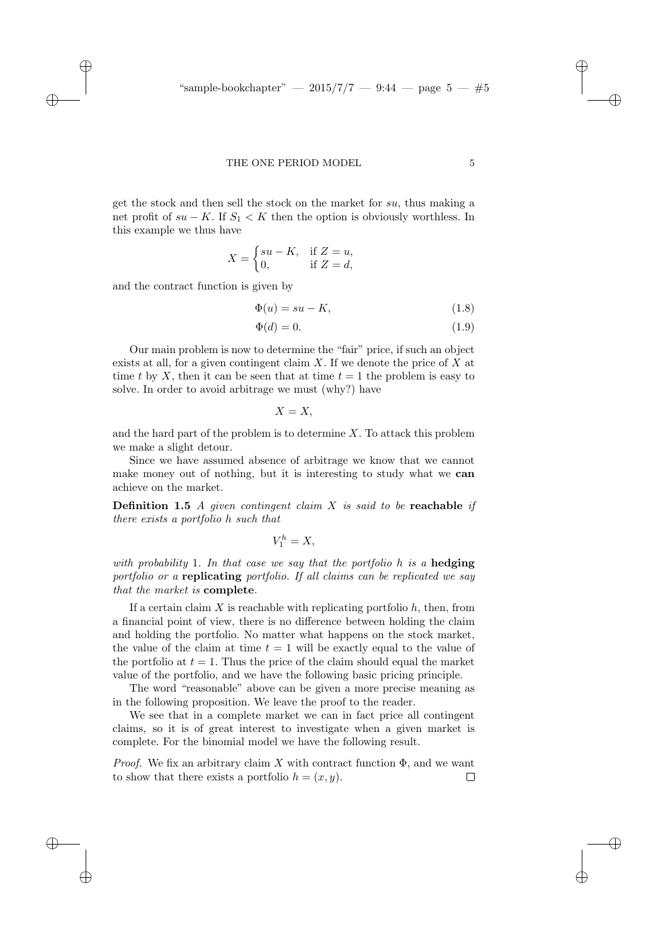#### THE ONE PERIOD MODEL 5

get the stock and then sell the stock on the market for su, thus making a net profit of  $su - K$ . If  $S_1 < K$  then the option is obviously worthless. In this example we thus have

$$
X = \begin{cases} su - K, & \text{if } Z = u, \\ 0, & \text{if } Z = d, \end{cases}
$$

and the contract function is given by

 $\rightarrow$ 

 $\rightarrow$ 

✐

✐

$$
\Phi(u) = su - K,\tag{1.8}
$$

$$
\Phi(d) = 0.\tag{1.9}
$$

Our main problem is now to determine the "fair" price, if such an object exists at all, for a given contingent claim  $X$ . If we denote the price of  $X$  at time t by X, then it can be seen that at time  $t = 1$  the problem is easy to solve. In order to avoid arbitrage we must (why?) have

 $X = X$ ,

and the hard part of the problem is to determine  $X$ . To attack this problem we make a slight detour.

Since we have assumed absence of arbitrage we know that we cannot make money out of nothing, but it is interesting to study what we can achieve on the market.

**Definition 1.5** A given contingent claim X is said to be reachable if there exists a portfolio h such that

$$
V_1^h=X,
$$

with probability 1. In that case we say that the portfolio h is a hedging portfolio or a replicating portfolio. If all claims can be replicated we say that the market is complete.

If a certain claim  $X$  is reachable with replicating portfolio  $h$ , then, from a financial point of view, there is no difference between holding the claim and holding the portfolio. No matter what happens on the stock market, the value of the claim at time  $t = 1$  will be exactly equal to the value of the portfolio at  $t = 1$ . Thus the price of the claim should equal the market value of the portfolio, and we have the following basic pricing principle.

The word "reasonable" above can be given a more precise meaning as in the following proposition. We leave the proof to the reader.

We see that in a complete market we can in fact price all contingent claims, so it is of great interest to investigate when a given market is complete. For the binomial model we have the following result.

*Proof.* We fix an arbitrary claim X with contract function  $\Phi$ , and we want to show that there exists a portfolio  $h = (x, y)$ .  $\Box$ 

✐

✐

✐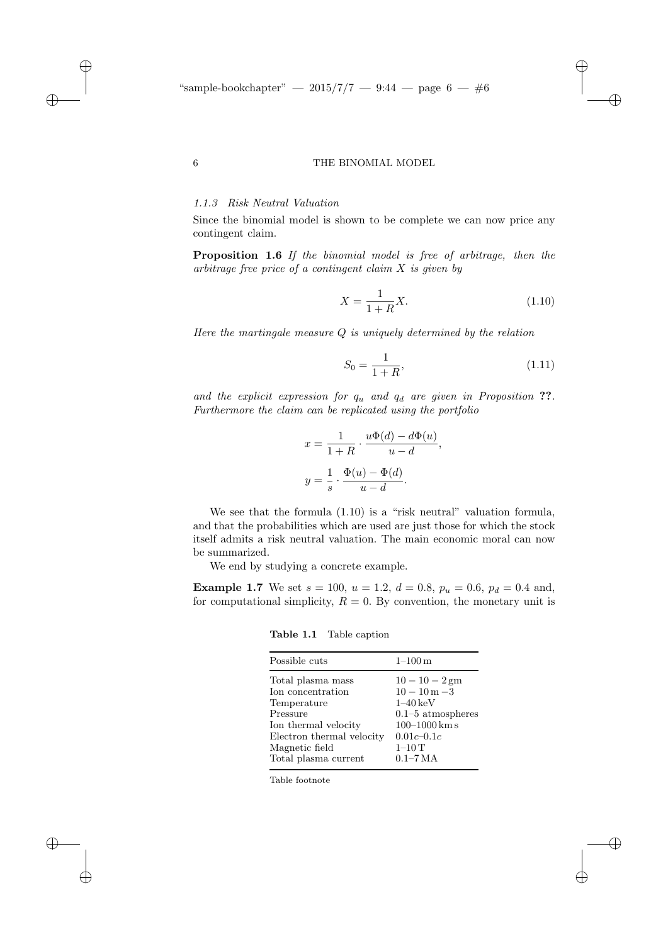# 1.1.3 Risk Neutral Valuation

Since the binomial model is shown to be complete we can now price any contingent claim.

Proposition 1.6 If the binomial model is free of arbitrage, then the arbitrage free price of a contingent claim  $X$  is given by

$$
X = \frac{1}{1+R}X.
$$
\n(1.10)

✐

✐

✐

✐

Here the martingale measure  $Q$  is uniquely determined by the relation

$$
S_0 = \frac{1}{1+R},\tag{1.11}
$$

and the explicit expression for  $q_u$  and  $q_d$  are given in Proposition ??. Furthermore the claim can be replicated using the portfolio

$$
x = \frac{1}{1+R} \cdot \frac{u\Phi(d) - d\Phi(u)}{u - d},
$$

$$
y = \frac{1}{s} \cdot \frac{\Phi(u) - \Phi(d)}{u - d}.
$$

We see that the formula  $(1.10)$  is a "risk neutral" valuation formula, and that the probabilities which are used are just those for which the stock itself admits a risk neutral valuation. The main economic moral can now be summarized.

We end by studying a concrete example.

**Example 1.7** We set  $s = 100$ ,  $u = 1.2$ ,  $d = 0.8$ ,  $p_u = 0.6$ ,  $p_d = 0.4$  and, for computational simplicity,  $R = 0$ . By convention, the monetary unit is

Table 1.1 Table caption

| Possible cuts<br>$1 - 100 \,\mathrm{m}$<br>Total plasma mass<br>Ion concentration<br>$1-40 \,\mathrm{keV}$<br>Temperature<br>Pressure<br>Ion thermal velocity<br>Electron thermal velocity<br>$0.01c - 0.1c$<br>$1-10$ T<br>Magnetic field<br>Total plasma current<br>$0.1 - 7 MA$ |                                                                                 |
|------------------------------------------------------------------------------------------------------------------------------------------------------------------------------------------------------------------------------------------------------------------------------------|---------------------------------------------------------------------------------|
|                                                                                                                                                                                                                                                                                    |                                                                                 |
|                                                                                                                                                                                                                                                                                    | $10 - 10 - 2$ gm<br>$10 - 10 m - 3$<br>$0.1-5$ atmospheres<br>$100 - 1000$ km s |
|                                                                                                                                                                                                                                                                                    |                                                                                 |

Table footnote

 $\rightarrow$ 

 $\rightarrow$ 

✐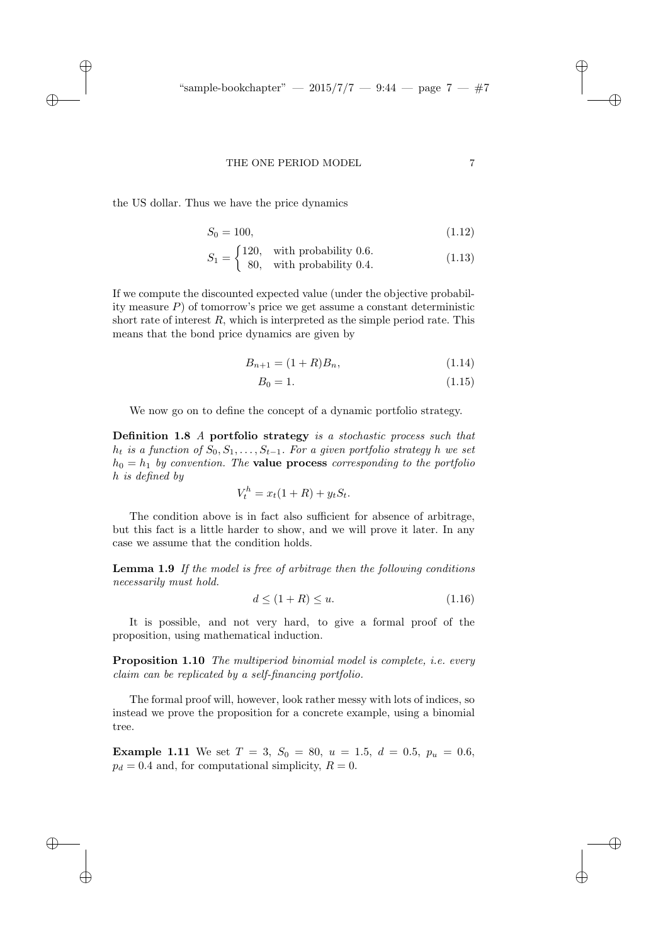✐

✐

✐

#### THE ONE PERIOD MODEL 7

the US dollar. Thus we have the price dynamics

 $\rightarrow$ 

 $\rightarrow$ 

✐

✐

$$
S_0 = 100, \t(1.12)
$$

$$
S_1 = \begin{cases} 120, & \text{with probability } 0.6. \\ 80, & \text{with probability } 0.4. \end{cases}
$$
 (1.13)

If we compute the discounted expected value (under the objective probability measure  $P$ ) of tomorrow's price we get assume a constant deterministic short rate of interest  $R$ , which is interpreted as the simple period rate. This means that the bond price dynamics are given by

$$
B_{n+1} = (1+R)B_n, \t\t(1.14)
$$

$$
B_0 = 1.\t(1.15)
$$

We now go on to define the concept of a dynamic portfolio strategy.

Definition 1.8 A portfolio strategy is a stochastic process such that  $h_t$  is a function of  $S_0, S_1, \ldots, S_{t-1}$ . For a given portfolio strategy h we set  $h_0 = h_1$  by convention. The **value process** corresponding to the portfolio h is defined by

$$
V_t^h = x_t(1+R) + y_t S_t.
$$

The condition above is in fact also sufficient for absence of arbitrage, but this fact is a little harder to show, and we will prove it later. In any case we assume that the condition holds.

Lemma 1.9 If the model is free of arbitrage then the following conditions necessarily must hold.

$$
d \le (1+R) \le u. \tag{1.16}
$$

It is possible, and not very hard, to give a formal proof of the proposition, using mathematical induction.

Proposition 1.10 The multiperiod binomial model is complete, i.e. every claim can be replicated by a self-financing portfolio.

The formal proof will, however, look rather messy with lots of indices, so instead we prove the proposition for a concrete example, using a binomial tree.

Example 1.11 We set  $T = 3$ ,  $S_0 = 80$ ,  $u = 1.5$ ,  $d = 0.5$ ,  $p_u = 0.6$ ,  $p_d = 0.4$  and, for computational simplicity,  $R = 0$ .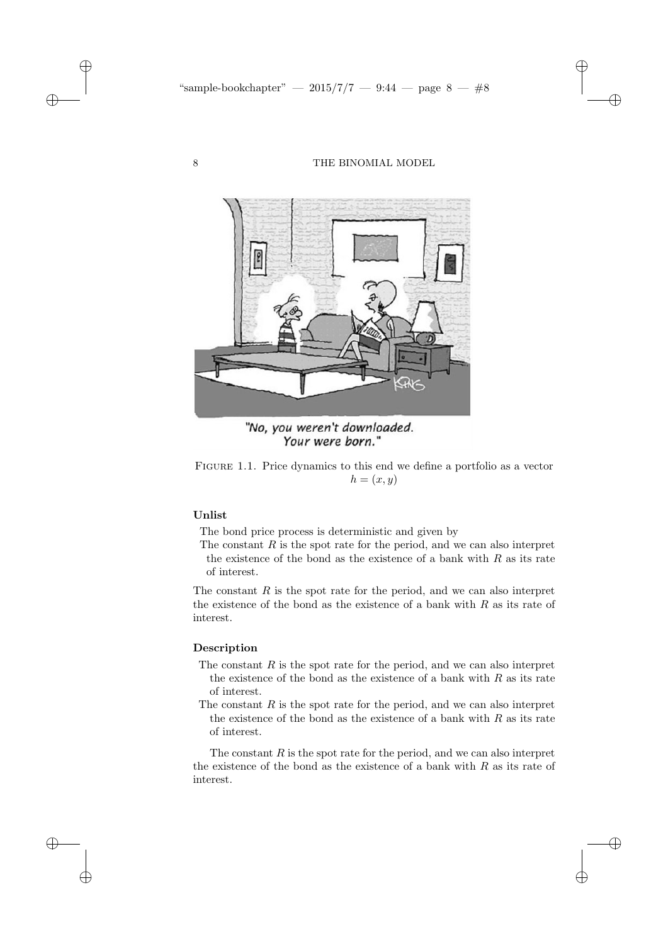✐

✐

✐

✐



"No, you weren't downloaded. Your were born."

Figure 1.1. Price dynamics to this end we define a portfolio as a vector  $h = (x, y)$ 

# Unlist

✐

✐

✐

✐

The bond price process is deterministic and given by

The constant  $R$  is the spot rate for the period, and we can also interpret the existence of the bond as the existence of a bank with  $R$  as its rate of interest.

The constant  $R$  is the spot rate for the period, and we can also interpret the existence of the bond as the existence of a bank with  $R$  as its rate of interest.

#### Description

- The constant  $R$  is the spot rate for the period, and we can also interpret the existence of the bond as the existence of a bank with  $R$  as its rate of interest.
- The constant  $R$  is the spot rate for the period, and we can also interpret the existence of the bond as the existence of a bank with  $R$  as its rate of interest.

The constant  $R$  is the spot rate for the period, and we can also interpret the existence of the bond as the existence of a bank with  $R$  as its rate of interest.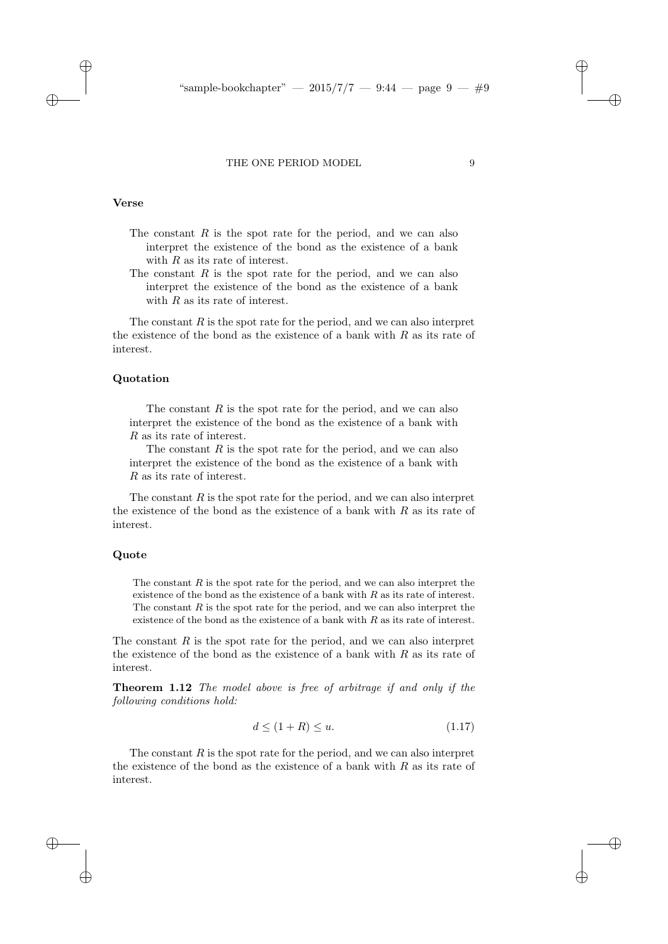#### THE ONE PERIOD MODEL 9

#### Verse

 $\rightarrow$ 

✐

- The constant  $R$  is the spot rate for the period, and we can also interpret the existence of the bond as the existence of a bank with  $R$  as its rate of interest.
- The constant  $R$  is the spot rate for the period, and we can also interpret the existence of the bond as the existence of a bank with  $R$  as its rate of interest.

The constant  $R$  is the spot rate for the period, and we can also interpret the existence of the bond as the existence of a bank with  $R$  as its rate of interest.

#### Quotation

The constant  $R$  is the spot rate for the period, and we can also interpret the existence of the bond as the existence of a bank with R as its rate of interest.

The constant  $R$  is the spot rate for the period, and we can also interpret the existence of the bond as the existence of a bank with R as its rate of interest.

The constant  $R$  is the spot rate for the period, and we can also interpret the existence of the bond as the existence of a bank with  $R$  as its rate of interest.

## Quote

 $\rightarrow$ 

✐

The constant  $R$  is the spot rate for the period, and we can also interpret the existence of the bond as the existence of a bank with  $R$  as its rate of interest. The constant  $R$  is the spot rate for the period, and we can also interpret the existence of the bond as the existence of a bank with  $R$  as its rate of interest.

The constant  $R$  is the spot rate for the period, and we can also interpret the existence of the bond as the existence of a bank with  $R$  as its rate of interest.

Theorem 1.12 The model above is free of arbitrage if and only if the following conditions hold:

$$
d \le (1+R) \le u. \tag{1.17}
$$

The constant  $R$  is the spot rate for the period, and we can also interpret the existence of the bond as the existence of a bank with  $R$  as its rate of interest.

✐

✐

✐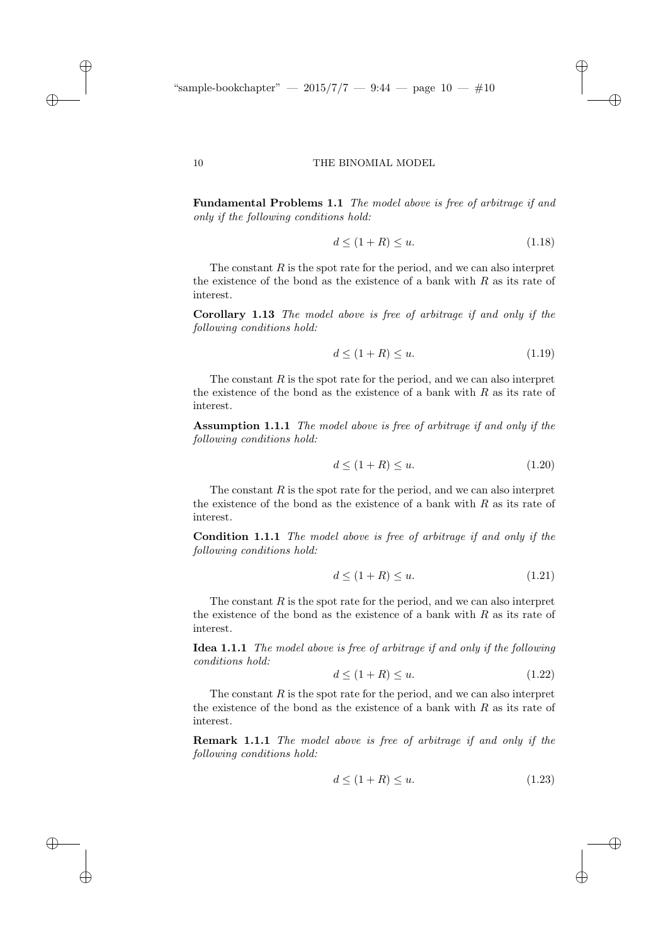"sample-bookchapter"  $-2015/7/7 - 9.44 - \text{page } 10 - \text{\#}10$ 

#### 10 THE BINOMIAL MODEL

Fundamental Problems 1.1 The model above is free of arbitrage if and only if the following conditions hold:

$$
d \le (1+R) \le u. \tag{1.18}
$$

✐

✐

✐

✐

The constant  $R$  is the spot rate for the period, and we can also interpret the existence of the bond as the existence of a bank with  $R$  as its rate of interest.

Corollary 1.13 The model above is free of arbitrage if and only if the following conditions hold:

$$
d \le (1+R) \le u. \tag{1.19}
$$

The constant  $R$  is the spot rate for the period, and we can also interpret the existence of the bond as the existence of a bank with  $R$  as its rate of interest.

Assumption 1.1.1 The model above is free of arbitrage if and only if the following conditions hold:

$$
d \le (1+R) \le u. \tag{1.20}
$$

The constant  $R$  is the spot rate for the period, and we can also interpret the existence of the bond as the existence of a bank with  $R$  as its rate of interest.

Condition 1.1.1 The model above is free of arbitrage if and only if the following conditions hold:

$$
d \le (1+R) \le u. \tag{1.21}
$$

The constant  $R$  is the spot rate for the period, and we can also interpret the existence of the bond as the existence of a bank with  $R$  as its rate of interest.

Idea 1.1.1 The model above is free of arbitrage if and only if the following conditions hold:

$$
d \le (1+R) \le u. \tag{1.22}
$$

The constant  $R$  is the spot rate for the period, and we can also interpret the existence of the bond as the existence of a bank with  $R$  as its rate of interest.

Remark 1.1.1 The model above is free of arbitrage if and only if the following conditions hold:

$$
d \le (1+R) \le u. \tag{1.23}
$$

 $\rightarrow$ 

 $\rightarrow$ 

✐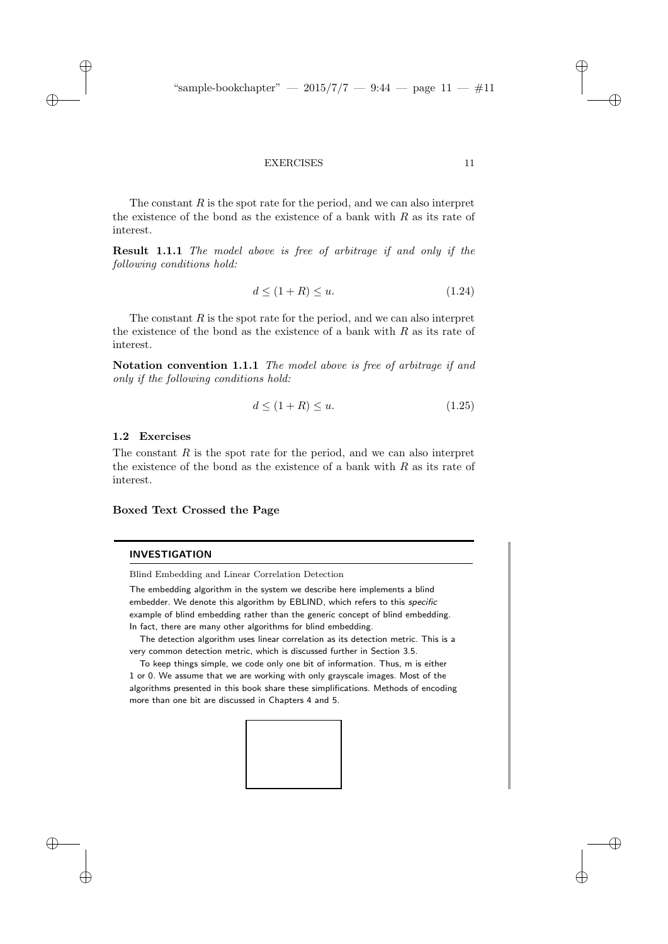## EXERCISES 11

The constant  $R$  is the spot rate for the period, and we can also interpret the existence of the bond as the existence of a bank with  $R$  as its rate of interest.

Result 1.1.1 The model above is free of arbitrage if and only if the following conditions hold:

$$
d \le (1+R) \le u. \tag{1.24}
$$

The constant  $R$  is the spot rate for the period, and we can also interpret the existence of the bond as the existence of a bank with  $R$  as its rate of interest.

Notation convention 1.1.1 The model above is free of arbitrage if and only if the following conditions hold:

$$
d \le (1+R) \le u. \tag{1.25}
$$

# 1.2 Exercises

 $\rightarrow$ 

 $\rightarrow$ 

✐

✐

The constant  $R$  is the spot rate for the period, and we can also interpret the existence of the bond as the existence of a bank with  $R$  as its rate of interest.

# Boxed Text Crossed the Page

## INVESTIGATION

Blind Embedding and Linear Correlation Detection

The embedding algorithm in the system we describe here implements a blind embedder. We denote this algorithm by EBLIND, which refers to this specific example of blind embedding rather than the generic concept of blind embedding. In fact, there are many other algorithms for blind embedding.

The detection algorithm uses linear correlation as its detection metric. This is a very common detection metric, which is discussed further in Section 3.5.

To keep things simple, we code only one bit of information. Thus, m is either 1 or 0. We assume that we are working with only grayscale images. Most of the algorithms presented in this book share these simplifications. Methods of encoding more than one bit are discussed in Chapters 4 and 5.



✐

✐

✐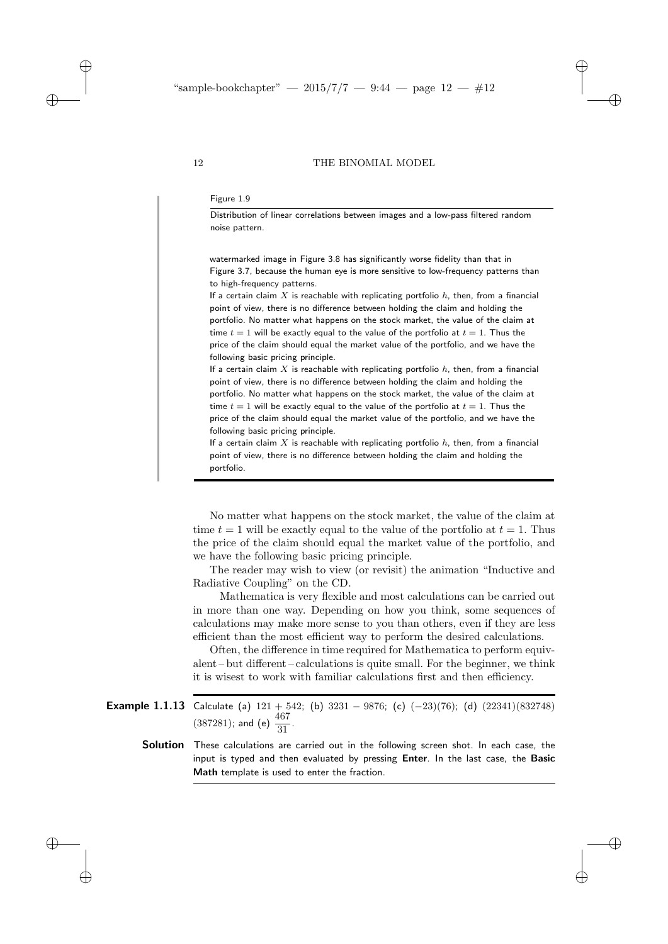✐

✐

✐

✐

#### Figure 1.9

Distribution of linear correlations between images and a low-pass filtered random noise pattern.

watermarked image in Figure 3.8 has significantly worse fidelity than that in Figure 3.7, because the human eye is more sensitive to low-frequency patterns than to high-frequency patterns.

If a certain claim  $X$  is reachable with replicating portfolio  $h$ , then, from a financial point of view, there is no difference between holding the claim and holding the portfolio. No matter what happens on the stock market, the value of the claim at time  $t = 1$  will be exactly equal to the value of the portfolio at  $t = 1$ . Thus the price of the claim should equal the market value of the portfolio, and we have the following basic pricing principle.

If a certain claim  $X$  is reachable with replicating portfolio  $h$ , then, from a financial point of view, there is no difference between holding the claim and holding the portfolio. No matter what happens on the stock market, the value of the claim at time  $t = 1$  will be exactly equal to the value of the portfolio at  $t = 1$ . Thus the price of the claim should equal the market value of the portfolio, and we have the following basic pricing principle.

If a certain claim  $X$  is reachable with replicating portfolio  $h$ , then, from a financial point of view, there is no difference between holding the claim and holding the portfolio.

No matter what happens on the stock market, the value of the claim at time  $t = 1$  will be exactly equal to the value of the portfolio at  $t = 1$ . Thus the price of the claim should equal the market value of the portfolio, and we have the following basic pricing principle.

The reader may wish to view (or revisit) the animation "Inductive and Radiative Coupling" on the CD.

Mathematica is very flexible and most calculations can be carried out in more than one way. Depending on how you think, some sequences of calculations may make more sense to you than others, even if they are less efficient than the most efficient way to perform the desired calculations.

Often, the difference in time required for Mathematica to perform equivalent – but different – calculations is quite small. For the beginner, we think it is wisest to work with familiar calculations first and then efficiency.

**Example 1.1.13** Calculate (a)  $121 + 542$ ; (b)  $3231 - 9876$ ; (c)  $(-23)(76)$ ; (d)  $(22341)(832748)$  $(387281)$ ; and (e)  $\frac{467}{31}$ .

**Solution** These calculations are carried out in the following screen shot. In each case, the input is typed and then evaluated by pressing Enter. In the last case, the Basic Math template is used to enter the fraction.

 $\rightarrow$ 

 $\rightarrow$ 

✐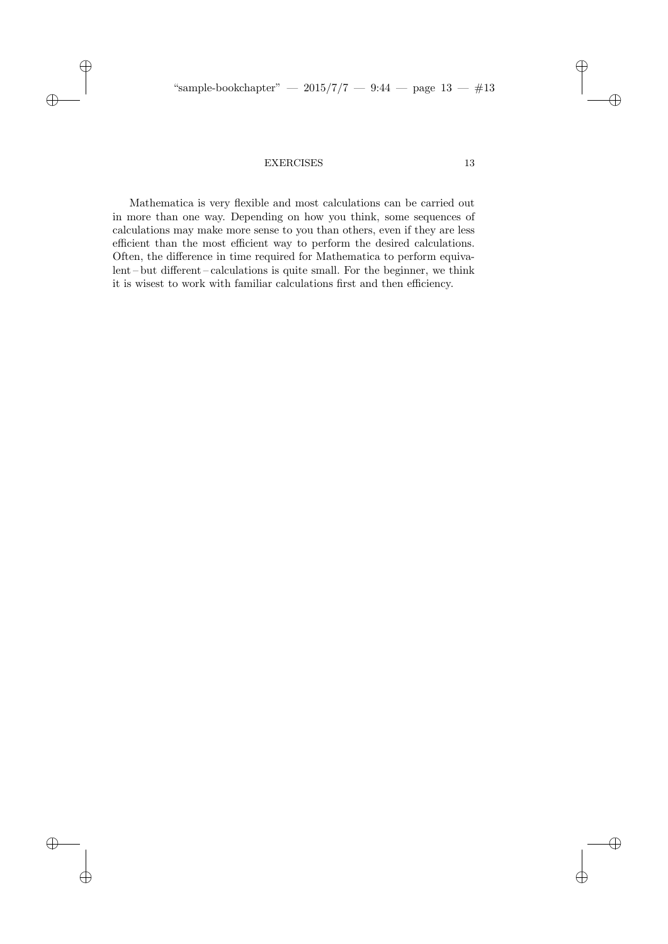"sample-bookchapter" — 2015/7/7 — 9:44 — page  $13 - #13$ 

# EXERCISES 13

 $\oplus$ 

✐

 $\oplus$ 

 $\oplus$ 

Mathematica is very flexible and most calculations can be carried out in more than one way. Depending on how you think, some sequences of calculations may make more sense to you than others, even if they are less efficient than the most efficient way to perform the desired calculations. Often, the difference in time required for Mathematica to perform equivalent – but different – calculations is quite small. For the beginner, we think it is wisest to work with familiar calculations first and then efficiency.

 $\oplus$ 

 $\oplus$ 

✐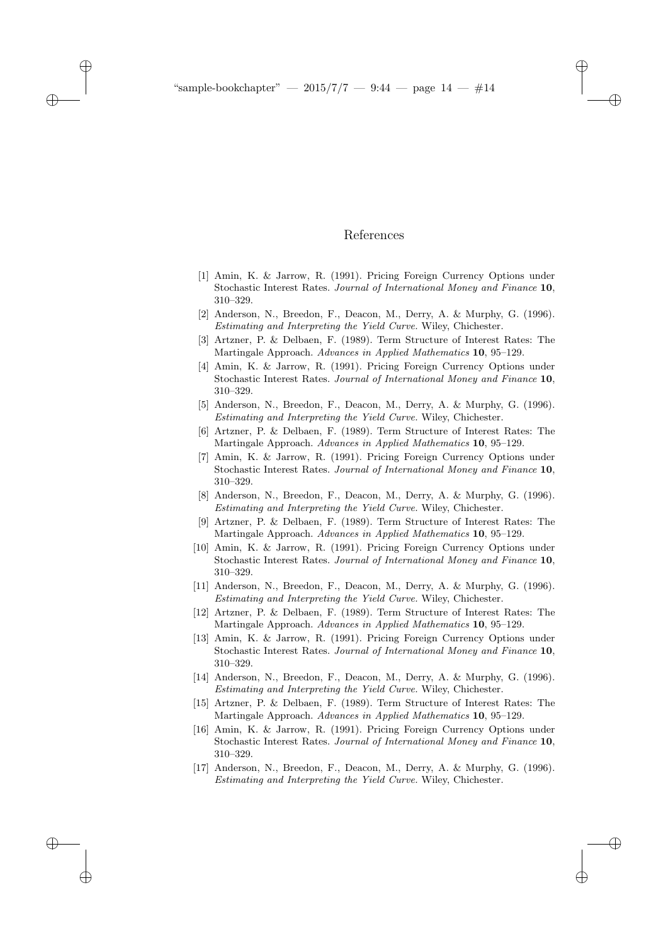$\rightarrow$ 

 $\rightarrow$ 

✐

✐

# References

✐

✐

✐

- [1] Amin, K. & Jarrow, R. (1991). Pricing Foreign Currency Options under Stochastic Interest Rates. Journal of International Money and Finance 10, 310–329.
- [2] Anderson, N., Breedon, F., Deacon, M., Derry, A. & Murphy, G. (1996). Estimating and Interpreting the Yield Curve. Wiley, Chichester.
- [3] Artzner, P. & Delbaen, F. (1989). Term Structure of Interest Rates: The Martingale Approach. Advances in Applied Mathematics 10, 95–129.
- [4] Amin, K. & Jarrow, R. (1991). Pricing Foreign Currency Options under Stochastic Interest Rates. Journal of International Money and Finance 10, 310–329.
- [5] Anderson, N., Breedon, F., Deacon, M., Derry, A. & Murphy, G. (1996). Estimating and Interpreting the Yield Curve. Wiley, Chichester.
- [6] Artzner, P. & Delbaen, F. (1989). Term Structure of Interest Rates: The Martingale Approach. Advances in Applied Mathematics 10, 95–129.
- [7] Amin, K. & Jarrow, R. (1991). Pricing Foreign Currency Options under Stochastic Interest Rates. Journal of International Money and Finance 10, 310–329.
- [8] Anderson, N., Breedon, F., Deacon, M., Derry, A. & Murphy, G. (1996). Estimating and Interpreting the Yield Curve. Wiley, Chichester.
- Artzner, P. & Delbaen, F. (1989). Term Structure of Interest Rates: The Martingale Approach. Advances in Applied Mathematics 10, 95–129.
- [10] Amin, K. & Jarrow, R. (1991). Pricing Foreign Currency Options under Stochastic Interest Rates. Journal of International Money and Finance 10, 310–329.
- [11] Anderson, N., Breedon, F., Deacon, M., Derry, A. & Murphy, G. (1996). Estimating and Interpreting the Yield Curve. Wiley, Chichester.
- [12] Artzner, P. & Delbaen, F. (1989). Term Structure of Interest Rates: The Martingale Approach. Advances in Applied Mathematics 10, 95–129.
- [13] Amin, K. & Jarrow, R. (1991). Pricing Foreign Currency Options under Stochastic Interest Rates. Journal of International Money and Finance 10, 310–329.
- [14] Anderson, N., Breedon, F., Deacon, M., Derry, A. & Murphy, G. (1996). Estimating and Interpreting the Yield Curve. Wiley, Chichester.
- [15] Artzner, P. & Delbaen, F. (1989). Term Structure of Interest Rates: The Martingale Approach. Advances in Applied Mathematics 10, 95–129.
- [16] Amin, K. & Jarrow, R. (1991). Pricing Foreign Currency Options under Stochastic Interest Rates. Journal of International Money and Finance 10, 310–329.
- [17] Anderson, N., Breedon, F., Deacon, M., Derry, A. & Murphy, G. (1996). Estimating and Interpreting the Yield Curve. Wiley, Chichester.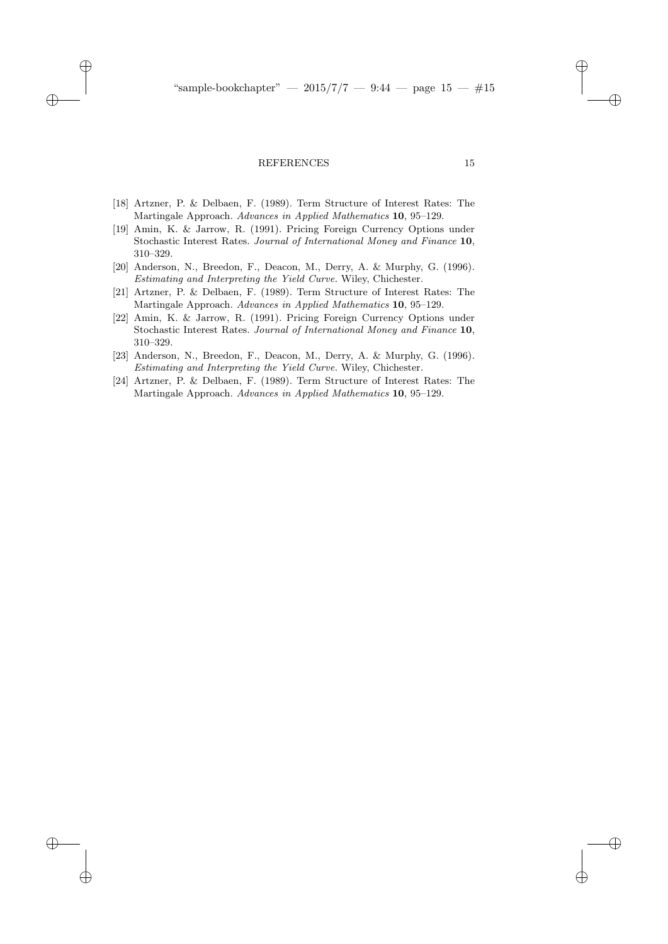#### REFERENCES 15

✐

 $\rightarrow$ 

✐

✐

- [18] Artzner, P. & Delbaen, F. (1989). Term Structure of Interest Rates: The Martingale Approach. Advances in Applied Mathematics 10, 95–129.
- [19] Amin, K. & Jarrow, R. (1991). Pricing Foreign Currency Options under Stochastic Interest Rates. Journal of International Money and Finance 10, 310–329.
- [20] Anderson, N., Breedon, F., Deacon, M., Derry, A. & Murphy, G. (1996). Estimating and Interpreting the Yield Curve. Wiley, Chichester.
- [21] Artzner, P. & Delbaen, F. (1989). Term Structure of Interest Rates: The Martingale Approach. Advances in Applied Mathematics 10, 95–129.
- [22] Amin, K. & Jarrow, R. (1991). Pricing Foreign Currency Options under Stochastic Interest Rates. Journal of International Money and Finance 10, 310–329.
- [23] Anderson, N., Breedon, F., Deacon, M., Derry, A. & Murphy, G. (1996). Estimating and Interpreting the Yield Curve. Wiley, Chichester.
- [24] Artzner, P. & Delbaen, F. (1989). Term Structure of Interest Rates: The Martingale Approach. Advances in Applied Mathematics 10, 95–129.

✐

✐

✐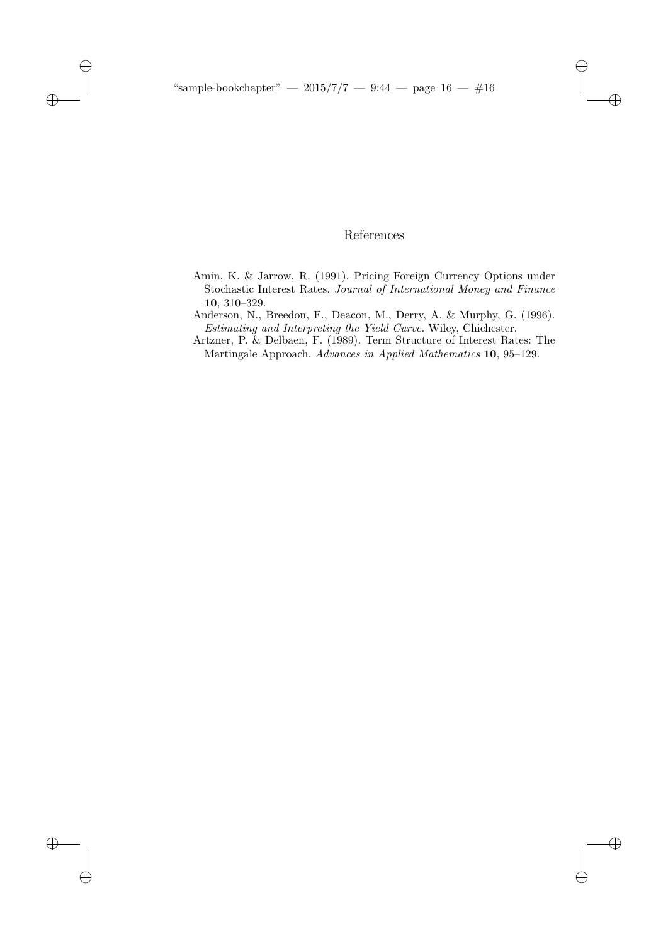$\oplus$ 

 $\oplus$ 

 $\oplus$ 

 $\oplus$ 

# References

 $\oplus$ 

 $\oplus$ 

✐

- Amin, K. & Jarrow, R. (1991). Pricing Foreign Currency Options under Stochastic Interest Rates. Journal of International Money and Finance 10, 310–329.
- Anderson, N., Breedon, F., Deacon, M., Derry, A. & Murphy, G. (1996). Estimating and Interpreting the Yield Curve. Wiley, Chichester.
- Artzner, P. & Delbaen, F. (1989). Term Structure of Interest Rates: The Martingale Approach. Advances in Applied Mathematics 10, 95–129.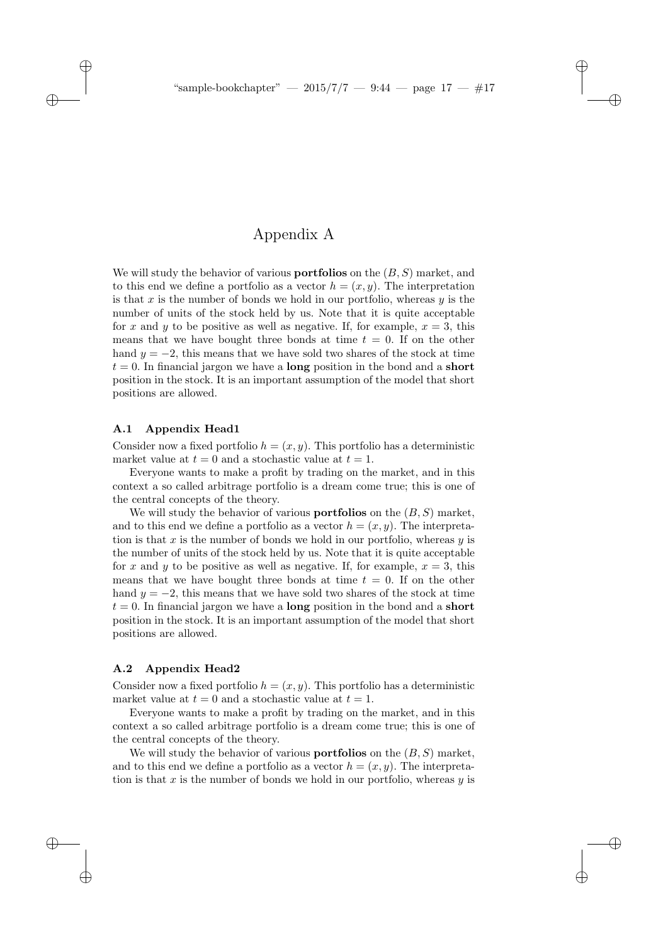✐

✐

✐

# Appendix A

We will study the behavior of various **portfolios** on the  $(B, S)$  market, and to this end we define a portfolio as a vector  $h = (x, y)$ . The interpretation is that  $x$  is the number of bonds we hold in our portfolio, whereas  $y$  is the number of units of the stock held by us. Note that it is quite acceptable for x and y to be positive as well as negative. If, for example,  $x = 3$ , this means that we have bought three bonds at time  $t = 0$ . If on the other hand  $y = -2$ , this means that we have sold two shares of the stock at time  $t = 0$ . In financial jargon we have a **long** position in the bond and a **short** position in the stock. It is an important assumption of the model that short positions are allowed.

## A.1 Appendix Head1

 $\rightarrow$ 

 $\rightarrow$ 

✐

✐

Consider now a fixed portfolio  $h = (x, y)$ . This portfolio has a deterministic market value at  $t = 0$  and a stochastic value at  $t = 1$ .

Everyone wants to make a profit by trading on the market, and in this context a so called arbitrage portfolio is a dream come true; this is one of the central concepts of the theory.

We will study the behavior of various **portfolios** on the  $(B, S)$  market. and to this end we define a portfolio as a vector  $h = (x, y)$ . The interpretation is that x is the number of bonds we hold in our portfolio, whereas  $y$  is the number of units of the stock held by us. Note that it is quite acceptable for x and y to be positive as well as negative. If, for example,  $x = 3$ , this means that we have bought three bonds at time  $t = 0$ . If on the other hand  $y = -2$ , this means that we have sold two shares of the stock at time  $t = 0$ . In financial jargon we have a **long** position in the bond and a **short** position in the stock. It is an important assumption of the model that short positions are allowed.

## A.2 Appendix Head2

Consider now a fixed portfolio  $h = (x, y)$ . This portfolio has a deterministic market value at  $t = 0$  and a stochastic value at  $t = 1$ .

Everyone wants to make a profit by trading on the market, and in this context a so called arbitrage portfolio is a dream come true; this is one of the central concepts of the theory.

We will study the behavior of various **portfolios** on the  $(B, S)$  market, and to this end we define a portfolio as a vector  $h = (x, y)$ . The interpretation is that x is the number of bonds we hold in our portfolio, whereas  $y$  is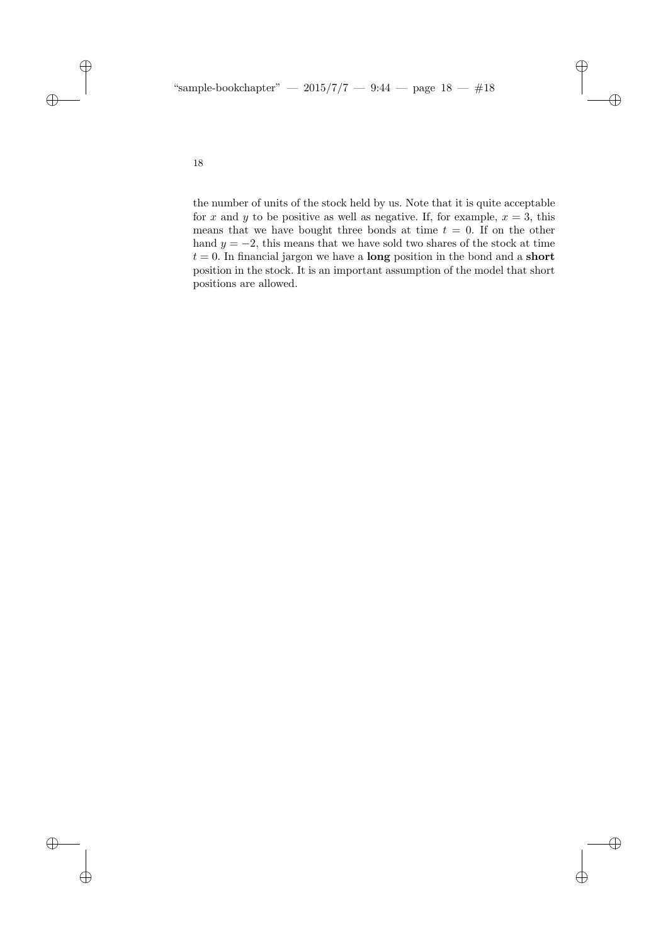"sample-bookchapter" — 2015/7/7 — 9:44 — page  $18 - \text{\#}18$ 

18

 $\oplus$ 

 $\oplus$ 

 $\oplus$ 

 $\oplus$ 

the number of units of the stock held by us. Note that it is quite acceptable for x and y to be positive as well as negative. If, for example,  $x = 3$ , this means that we have bought three bonds at time  $t = 0$ . If on the other hand  $y = -2$ , this means that we have sold two shares of the stock at time  $t = 0$ . In financial jargon we have a **long** position in the bond and a **short** position in the stock. It is an important assumption of the model that short positions are allowed.

 $\bigoplus$ 

 $\oplus$ 

 $\oplus$ 

 $\oplus$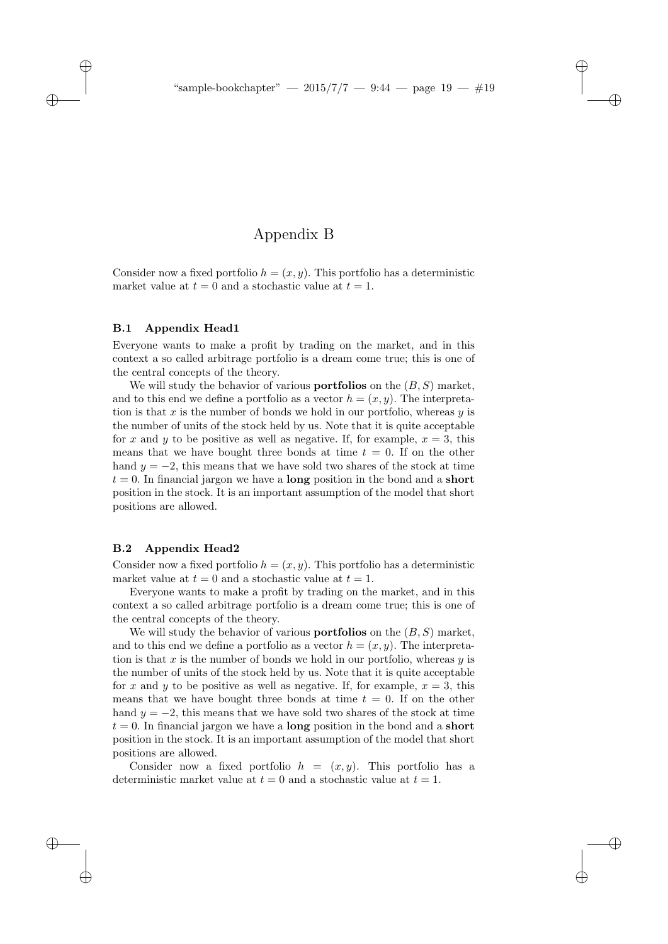✐

✐

✐

# Appendix B

Consider now a fixed portfolio  $h = (x, y)$ . This portfolio has a deterministic market value at  $t = 0$  and a stochastic value at  $t = 1$ .

## B.1 Appendix Head1

 $\rightarrow$ 

 $\rightarrow$ 

✐

✐

Everyone wants to make a profit by trading on the market, and in this context a so called arbitrage portfolio is a dream come true; this is one of the central concepts of the theory.

We will study the behavior of various **portfolios** on the  $(B, S)$  market, and to this end we define a portfolio as a vector  $h = (x, y)$ . The interpretation is that x is the number of bonds we hold in our portfolio, whereas  $y$  is the number of units of the stock held by us. Note that it is quite acceptable for x and y to be positive as well as negative. If, for example,  $x = 3$ , this means that we have bought three bonds at time  $t = 0$ . If on the other hand  $y = -2$ , this means that we have sold two shares of the stock at time  $t = 0$ . In financial jargon we have a **long** position in the bond and a **short** position in the stock. It is an important assumption of the model that short positions are allowed.

## B.2 Appendix Head2

Consider now a fixed portfolio  $h = (x, y)$ . This portfolio has a deterministic market value at  $t = 0$  and a stochastic value at  $t = 1$ .

Everyone wants to make a profit by trading on the market, and in this context a so called arbitrage portfolio is a dream come true; this is one of the central concepts of the theory.

We will study the behavior of various **portfolios** on the  $(B, S)$  market, and to this end we define a portfolio as a vector  $h = (x, y)$ . The interpretation is that x is the number of bonds we hold in our portfolio, whereas  $y$  is the number of units of the stock held by us. Note that it is quite acceptable for x and y to be positive as well as negative. If, for example,  $x = 3$ , this means that we have bought three bonds at time  $t = 0$ . If on the other hand  $y = -2$ , this means that we have sold two shares of the stock at time  $t = 0$ . In financial jargon we have a **long** position in the bond and a **short** position in the stock. It is an important assumption of the model that short positions are allowed.

Consider now a fixed portfolio  $h = (x, y)$ . This portfolio has a deterministic market value at  $t = 0$  and a stochastic value at  $t = 1$ .